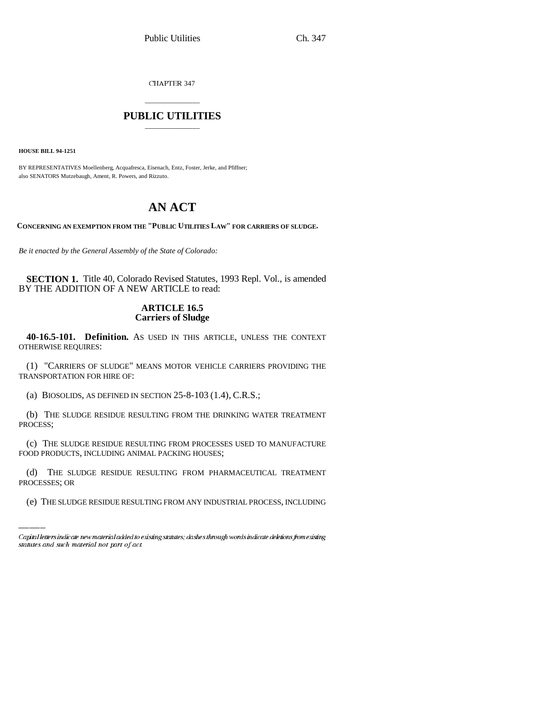CHAPTER 347

## \_\_\_\_\_\_\_\_\_\_\_\_\_\_\_ **PUBLIC UTILITIES** \_\_\_\_\_\_\_\_\_\_\_\_\_\_\_

**HOUSE BILL 94-1251**

BY REPRESENTATIVES Moellenberg, Acquafresca, Eisenach, Entz, Foster, Jerke, and Pfiffner; also SENATORS Mutzebaugh, Ament, R. Powers, and Rizzuto.

# **AN ACT**

**CONCERNING AN EXEMPTION FROM THE "PUBLIC UTILITIES LAW" FOR CARRIERS OF SLUDGE.**

*Be it enacted by the General Assembly of the State of Colorado:*

**SECTION 1.** Title 40, Colorado Revised Statutes, 1993 Repl. Vol., is amended BY THE ADDITION OF A NEW ARTICLE to read:

### **ARTICLE 16.5 Carriers of Sludge**

**40-16.5-101. Definition.** AS USED IN THIS ARTICLE, UNLESS THE CONTEXT OTHERWISE REQUIRES:

(1) "CARRIERS OF SLUDGE" MEANS MOTOR VEHICLE CARRIERS PROVIDING THE TRANSPORTATION FOR HIRE OF:

(a) BIOSOLIDS, AS DEFINED IN SECTION 25-8-103 (1.4), C.R.S.;

(b) THE SLUDGE RESIDUE RESULTING FROM THE DRINKING WATER TREATMENT PROCESS;

FOOD PRODUCTS, INCLUDING ANIMAL PACKING HOUSES; (c) THE SLUDGE RESIDUE RESULTING FROM PROCESSES USED TO MANUFACTURE

(d) THE SLUDGE RESIDUE RESULTING FROM PHARMACEUTICAL TREATMENT PROCESSES; OR

(e) THE SLUDGE RESIDUE RESULTING FROM ANY INDUSTRIAL PROCESS, INCLUDING

Capital letters indicate new material added to existing statutes; dashes through words indicate deletions from existing statutes and such material not part of act.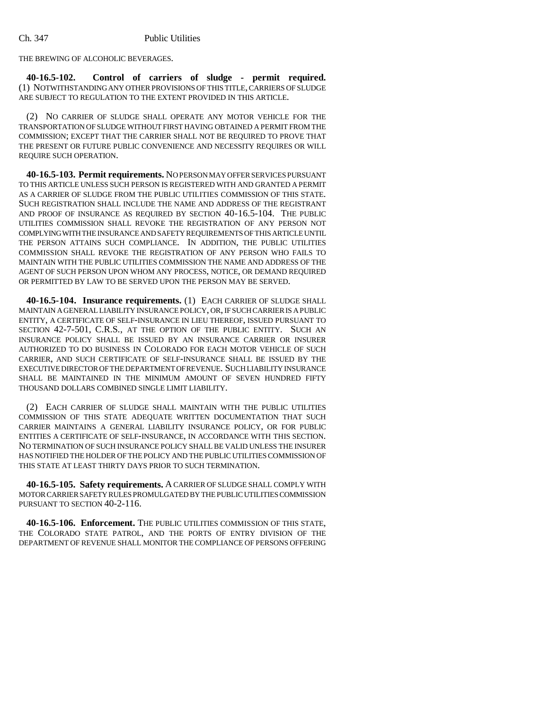THE BREWING OF ALCOHOLIC BEVERAGES.

**40-16.5-102. Control of carriers of sludge - permit required.** (1) NOTWITHSTANDING ANY OTHER PROVISIONS OF THIS TITLE, CARRIERS OF SLUDGE ARE SUBJECT TO REGULATION TO THE EXTENT PROVIDED IN THIS ARTICLE.

(2) NO CARRIER OF SLUDGE SHALL OPERATE ANY MOTOR VEHICLE FOR THE TRANSPORTATION OF SLUDGE WITHOUT FIRST HAVING OBTAINED A PERMIT FROM THE COMMISSION; EXCEPT THAT THE CARRIER SHALL NOT BE REQUIRED TO PROVE THAT THE PRESENT OR FUTURE PUBLIC CONVENIENCE AND NECESSITY REQUIRES OR WILL REQUIRE SUCH OPERATION.

**40-16.5-103. Permit requirements.** NO PERSON MAY OFFER SERVICES PURSUANT TO THIS ARTICLE UNLESS SUCH PERSON IS REGISTERED WITH AND GRANTED A PERMIT AS A CARRIER OF SLUDGE FROM THE PUBLIC UTILITIES COMMISSION OF THIS STATE. SUCH REGISTRATION SHALL INCLUDE THE NAME AND ADDRESS OF THE REGISTRANT AND PROOF OF INSURANCE AS REQUIRED BY SECTION 40-16.5-104. THE PUBLIC UTILITIES COMMISSION SHALL REVOKE THE REGISTRATION OF ANY PERSON NOT COMPLYING WITH THE INSURANCE AND SAFETY REQUIREMENTS OF THIS ARTICLE UNTIL THE PERSON ATTAINS SUCH COMPLIANCE. IN ADDITION, THE PUBLIC UTILITIES COMMISSION SHALL REVOKE THE REGISTRATION OF ANY PERSON WHO FAILS TO MAINTAIN WITH THE PUBLIC UTILITIES COMMISSION THE NAME AND ADDRESS OF THE AGENT OF SUCH PERSON UPON WHOM ANY PROCESS, NOTICE, OR DEMAND REQUIRED OR PERMITTED BY LAW TO BE SERVED UPON THE PERSON MAY BE SERVED.

**40-16.5-104. Insurance requirements.** (1) EACH CARRIER OF SLUDGE SHALL MAINTAIN A GENERAL LIABILITY INSURANCE POLICY, OR, IF SUCH CARRIER IS A PUBLIC ENTITY, A CERTIFICATE OF SELF-INSURANCE IN LIEU THEREOF, ISSUED PURSUANT TO SECTION 42-7-501, C.R.S., AT THE OPTION OF THE PUBLIC ENTITY. SUCH AN INSURANCE POLICY SHALL BE ISSUED BY AN INSURANCE CARRIER OR INSURER AUTHORIZED TO DO BUSINESS IN COLORADO FOR EACH MOTOR VEHICLE OF SUCH CARRIER, AND SUCH CERTIFICATE OF SELF-INSURANCE SHALL BE ISSUED BY THE EXECUTIVE DIRECTOR OF THE DEPARTMENT OF REVENUE. SUCH LIABILITY INSURANCE SHALL BE MAINTAINED IN THE MINIMUM AMOUNT OF SEVEN HUNDRED FIFTY THOUSAND DOLLARS COMBINED SINGLE LIMIT LIABILITY.

(2) EACH CARRIER OF SLUDGE SHALL MAINTAIN WITH THE PUBLIC UTILITIES COMMISSION OF THIS STATE ADEQUATE WRITTEN DOCUMENTATION THAT SUCH CARRIER MAINTAINS A GENERAL LIABILITY INSURANCE POLICY, OR FOR PUBLIC ENTITIES A CERTIFICATE OF SELF-INSURANCE, IN ACCORDANCE WITH THIS SECTION. NO TERMINATION OF SUCH INSURANCE POLICY SHALL BE VALID UNLESS THE INSURER HAS NOTIFIED THE HOLDER OF THE POLICY AND THE PUBLIC UTILITIES COMMISSION OF THIS STATE AT LEAST THIRTY DAYS PRIOR TO SUCH TERMINATION.

**40-16.5-105. Safety requirements.** A CARRIER OF SLUDGE SHALL COMPLY WITH MOTOR CARRIER SAFETY RULES PROMULGATED BY THE PUBLIC UTILITIES COMMISSION PURSUANT TO SECTION 40-2-116.

**40-16.5-106. Enforcement.** THE PUBLIC UTILITIES COMMISSION OF THIS STATE, THE COLORADO STATE PATROL, AND THE PORTS OF ENTRY DIVISION OF THE DEPARTMENT OF REVENUE SHALL MONITOR THE COMPLIANCE OF PERSONS OFFERING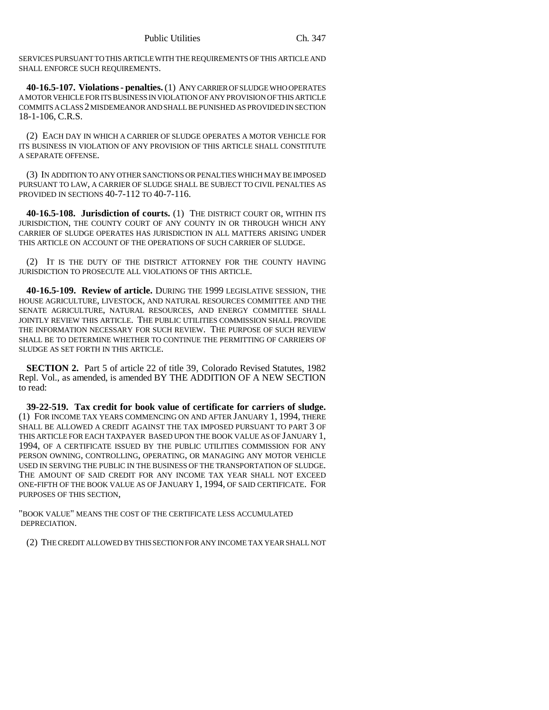SERVICES PURSUANT TO THIS ARTICLE WITH THE REQUIREMENTS OF THIS ARTICLE AND SHALL ENFORCE SUCH REQUIREMENTS.

**40-16.5-107. Violations - penalties.** (1) ANY CARRIER OF SLUDGE WHO OPERATES A MOTOR VEHICLE FOR ITS BUSINESS IN VIOLATION OF ANY PROVISION OF THIS ARTICLE COMMITS A CLASS 2 MISDEMEANOR AND SHALL BE PUNISHED AS PROVIDED IN SECTION 18-1-106, C.R.S.

(2) EACH DAY IN WHICH A CARRIER OF SLUDGE OPERATES A MOTOR VEHICLE FOR ITS BUSINESS IN VIOLATION OF ANY PROVISION OF THIS ARTICLE SHALL CONSTITUTE A SEPARATE OFFENSE.

(3) IN ADDITION TO ANY OTHER SANCTIONS OR PENALTIES WHICH MAY BE IMPOSED PURSUANT TO LAW, A CARRIER OF SLUDGE SHALL BE SUBJECT TO CIVIL PENALTIES AS PROVIDED IN SECTIONS 40-7-112 TO 40-7-116.

**40-16.5-108. Jurisdiction of courts.** (1) THE DISTRICT COURT OR, WITHIN ITS JURISDICTION, THE COUNTY COURT OF ANY COUNTY IN OR THROUGH WHICH ANY CARRIER OF SLUDGE OPERATES HAS JURISDICTION IN ALL MATTERS ARISING UNDER THIS ARTICLE ON ACCOUNT OF THE OPERATIONS OF SUCH CARRIER OF SLUDGE.

(2) IT IS THE DUTY OF THE DISTRICT ATTORNEY FOR THE COUNTY HAVING JURISDICTION TO PROSECUTE ALL VIOLATIONS OF THIS ARTICLE.

**40-16.5-109. Review of article.** DURING THE 1999 LEGISLATIVE SESSION, THE HOUSE AGRICULTURE, LIVESTOCK, AND NATURAL RESOURCES COMMITTEE AND THE SENATE AGRICULTURE, NATURAL RESOURCES, AND ENERGY COMMITTEE SHALL JOINTLY REVIEW THIS ARTICLE. THE PUBLIC UTILITIES COMMISSION SHALL PROVIDE THE INFORMATION NECESSARY FOR SUCH REVIEW. THE PURPOSE OF SUCH REVIEW SHALL BE TO DETERMINE WHETHER TO CONTINUE THE PERMITTING OF CARRIERS OF SLUDGE AS SET FORTH IN THIS ARTICLE.

**SECTION 2.** Part 5 of article 22 of title 39, Colorado Revised Statutes, 1982 Repl. Vol., as amended, is amended BY THE ADDITION OF A NEW SECTION to read:

**39-22-519. Tax credit for book value of certificate for carriers of sludge.** (1) FOR INCOME TAX YEARS COMMENCING ON AND AFTER JANUARY 1, 1994, THERE SHALL BE ALLOWED A CREDIT AGAINST THE TAX IMPOSED PURSUANT TO PART 3 OF THIS ARTICLE FOR EACH TAXPAYER BASED UPON THE BOOK VALUE AS OF JANUARY 1, 1994, OF A CERTIFICATE ISSUED BY THE PUBLIC UTILITIES COMMISSION FOR ANY PERSON OWNING, CONTROLLING, OPERATING, OR MANAGING ANY MOTOR VEHICLE USED IN SERVING THE PUBLIC IN THE BUSINESS OF THE TRANSPORTATION OF SLUDGE. THE AMOUNT OF SAID CREDIT FOR ANY INCOME TAX YEAR SHALL NOT EXCEED ONE-FIFTH OF THE BOOK VALUE AS OF JANUARY 1, 1994, OF SAID CERTIFICATE. FOR PURPOSES OF THIS SECTION,

"BOOK VALUE" MEANS THE COST OF THE CERTIFICATE LESS ACCUMULATED DEPRECIATION.

(2) THE CREDIT ALLOWED BY THIS SECTION FOR ANY INCOME TAX YEAR SHALL NOT